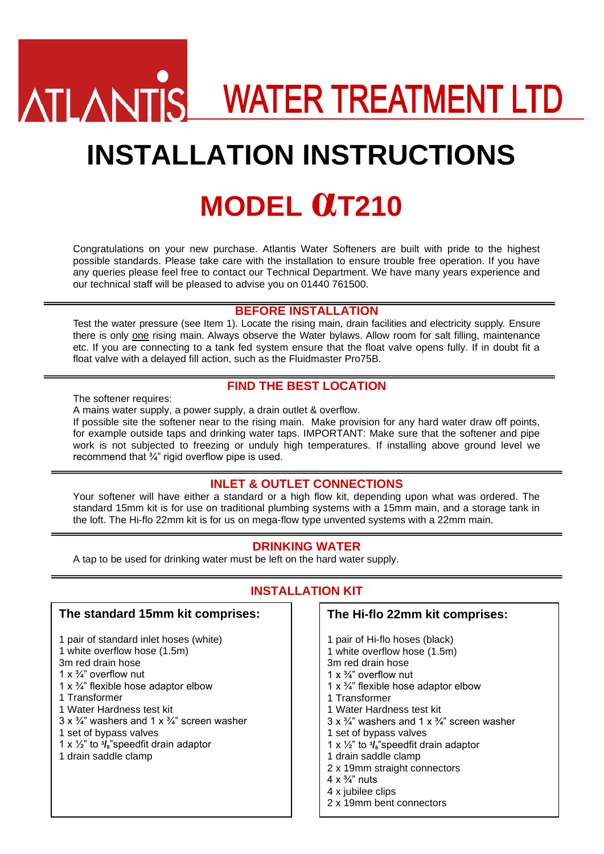# ATLANTIS WATER TREATMENT LTD

## **I INSTALLATION INSTRUCTIONS**

## **MODEL αT210**

Congratulations on your new purchase. Atlantis Water Softeners are built with pride to the highest possible standards. Please take care with the installation to ensure trouble free operation. If you have any queries please feel free to contact our Technical Department. We have many years experience and our technical staff will be pleased to advise you on 01440 761500.

#### **BEFORE INSTALLATION**

Test the water pressure (see Item 1). Locate the rising main, drain facilities and electricity supply. Ensure there is only one rising main. Always observe the Water bylaws. Allow room for salt filling, maintenance etc. If you are connecting to a tank fed system ensure that the float valve opens fully. If in doubt fit a float valve with a delayed fill action, such as the Fluidmaster Pro75B.

#### **FIND THE BEST LOCATION**

The softener requires:

A mains water supply, a power supply, a drain outlet & overflow.

If possible site the softener near to the rising main. Make provision for any hard water draw off points, for example outside taps and drinking water taps. IMPORTANT: Make sure that the softener and pipe work is not subjected to freezing or unduly high temperatures. If installing above ground level we recommend that ¾" rigid overflow pipe is used.

#### **INLET & OUTLET CONNECTIONS**

Your softener will have either a standard or a high flow kit, depending upon what was ordered. The standard 15mm kit is for use on traditional plumbing systems with a 15mm main, and a storage tank in the loft. The Hi-flo 22mm kit is for us on mega-flow type unvented systems with a 22mm main.

#### **DRINKING WATER**

A tap to be used for drinking water must be left on the hard water supply.

#### **The standard 15mm kit comprises:** 1 pair of standard inlet hoses (white) 1 white overflow hose (1.5m) 3m red drain hose 1 x  $\frac{3}{4}$ " overflow nut 1 x ¾" flexible hose adaptor elbow 1 Transformer 1 Water Hardness test kit  $3 \times \frac{3}{4}$ " washers and  $1 \times \frac{3}{4}$ " screen washer 1 set of bypass valves 1 x ½" to **<sup>3</sup> /8**"speedfit drain adaptor 1 drain saddle clamp **The Hi-flo 22mm kit comprises:** 1 pair of Hi-flo hoses (black) 1 white overflow hose (1.5m) 3m red drain hose 1 x  $\frac{3}{4}$ " overflow nut 1 x ¾" flexible hose adaptor elbow 1 Transformer 1 Water Hardness test kit  $3 \times \frac{3}{4}$ " washers and  $1 \times \frac{3}{4}$ " screen washer 1 set of bypass valves 1 x ½" to **<sup>3</sup> /8**"speedfit drain adaptor 1 drain saddle clamp 2 x 19mm straight connectors  $4 \times \frac{3}{4}$ " nuts 4 x jubilee clips 2 x 19mm bent connectors

#### **INSTALLATION KIT**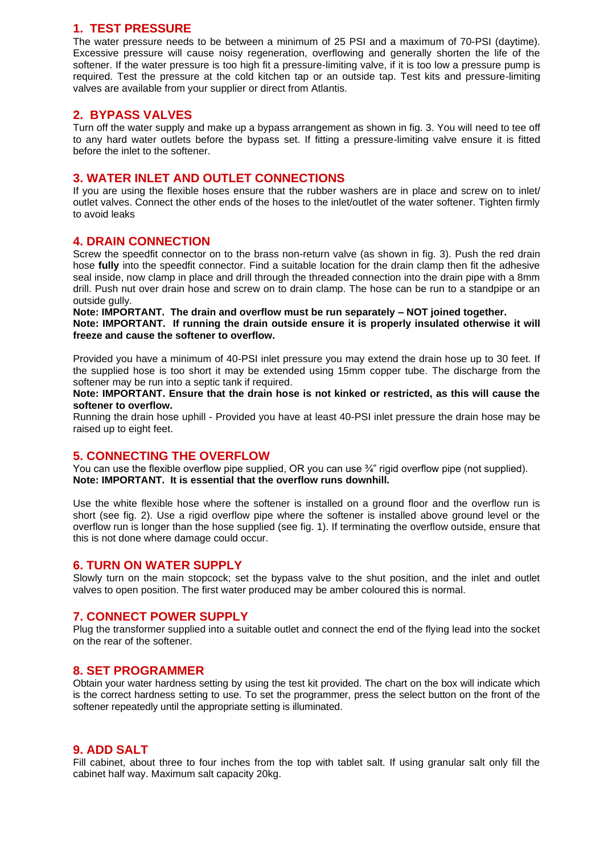#### **1. TEST PRESSURE**

The water pressure needs to be between a minimum of 25 PSI and a maximum of 70-PSI (daytime). Excessive pressure will cause noisy regeneration, overflowing and generally shorten the life of the softener. If the water pressure is too high fit a pressure-limiting valve, if it is too low a pressure pump is required. Test the pressure at the cold kitchen tap or an outside tap. Test kits and pressure-limiting valves are available from your supplier or direct from Atlantis.

#### **2. BYPASS VALVES**

Turn off the water supply and make up a bypass arrangement as shown in fig. 3. You will need to tee off to any hard water outlets before the bypass set. If fitting a pressure-limiting valve ensure it is fitted before the inlet to the softener.

#### **3. WATER INLET AND OUTLET CONNECTIONS**

If you are using the flexible hoses ensure that the rubber washers are in place and screw on to inlet/ outlet valves. Connect the other ends of the hoses to the inlet/outlet of the water softener. Tighten firmly to avoid leaks

#### **4. DRAIN CONNECTION**

Screw the speedfit connector on to the brass non-return valve (as shown in fig. 3). Push the red drain hose **fully** into the speedfit connector. Find a suitable location for the drain clamp then fit the adhesive seal inside, now clamp in place and drill through the threaded connection into the drain pipe with a 8mm drill. Push nut over drain hose and screw on to drain clamp. The hose can be run to a standpipe or an outside gully.

**Note: IMPORTANT. The drain and overflow must be run separately – NOT joined together. Note: IMPORTANT. If running the drain outside ensure it is properly insulated otherwise it will freeze and cause the softener to overflow.** 

Provided you have a minimum of 40-PSI inlet pressure you may extend the drain hose up to 30 feet. If the supplied hose is too short it may be extended using 15mm copper tube. The discharge from the softener may be run into a septic tank if required.

**Note: IMPORTANT. Ensure that the drain hose is not kinked or restricted, as this will cause the softener to overflow.**

Running the drain hose uphill - Provided you have at least 40-PSI inlet pressure the drain hose may be raised up to eight feet.

#### **5. CONNECTING THE OVERFLOW**

You can use the flexible overflow pipe supplied, OR you can use  $\frac{3}{4}$ " rigid overflow pipe (not supplied). **Note: IMPORTANT. It is essential that the overflow runs downhill.**

Use the white flexible hose where the softener is installed on a ground floor and the overflow run is short (see fig. 2). Use a rigid overflow pipe where the softener is installed above ground level or the overflow run is longer than the hose supplied (see fig. 1). If terminating the overflow outside, ensure that this is not done where damage could occur.

#### **6. TURN ON WATER SUPPLY**

Slowly turn on the main stopcock; set the bypass valve to the shut position, and the inlet and outlet valves to open position. The first water produced may be amber coloured this is normal.

#### **7. CONNECT POWER SUPPLY**

Plug the transformer supplied into a suitable outlet and connect the end of the flying lead into the socket on the rear of the softener.

#### **8. SET PROGRAMMER**

Obtain your water hardness setting by using the test kit provided. The chart on the box will indicate which is the correct hardness setting to use. To set the programmer, press the select button on the front of the softener repeatedly until the appropriate setting is illuminated.

#### **9. ADD SALT**

Fill cabinet, about three to four inches from the top with tablet salt. If using granular salt only fill the cabinet half way. Maximum salt capacity 20kg.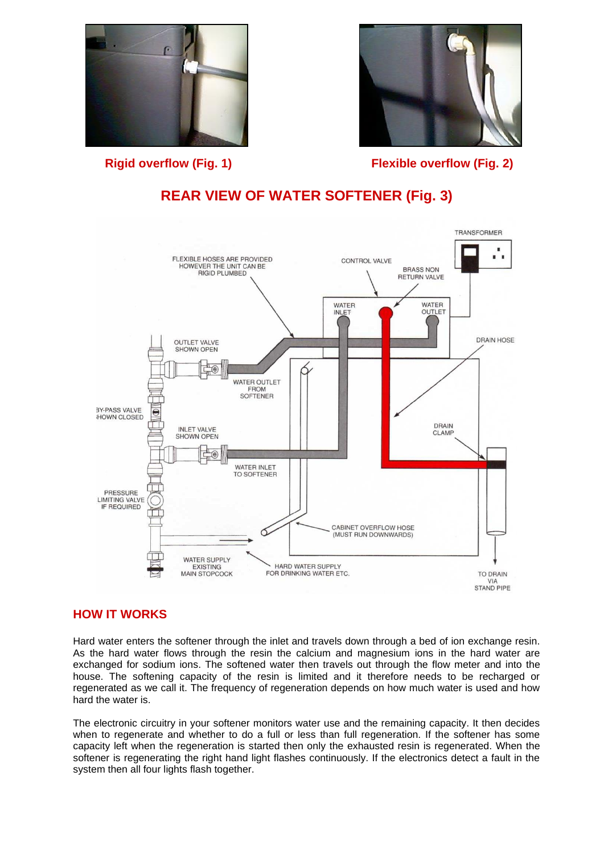



**Rigid overflow (Fig. 1) Flexible overflow (Fig. 2)**

### **REAR VIEW OF WATER SOFTENER (Fig. 3)**



#### **HOW IT WORKS**

Hard water enters the softener through the inlet and travels down through a bed of ion exchange resin. As the hard water flows through the resin the calcium and magnesium ions in the hard water are exchanged for sodium ions. The softened water then travels out through the flow meter and into the house. The softening capacity of the resin is limited and it therefore needs to be recharged or regenerated as we call it. The frequency of regeneration depends on how much water is used and how hard the water is.

The electronic circuitry in your softener monitors water use and the remaining capacity. It then decides when to regenerate and whether to do a full or less than full regeneration. If the softener has some capacity left when the regeneration is started then only the exhausted resin is regenerated. When the softener is regenerating the right hand light flashes continuously. If the electronics detect a fault in the system then all four lights flash together.